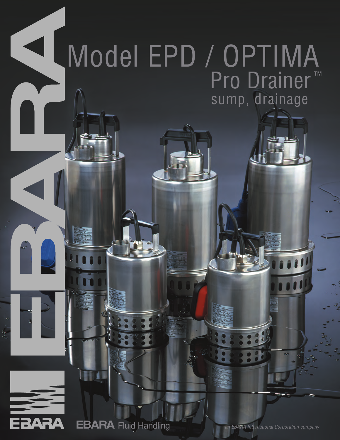## $\blacktriangleleft$ Model EPD / OPTIMA Pro Drainer<sup>™</sup> sump, drainage



ø,

**EBARA** Fluid Handling **CONDARA** Fluid Handling **ARA international Corporation company**